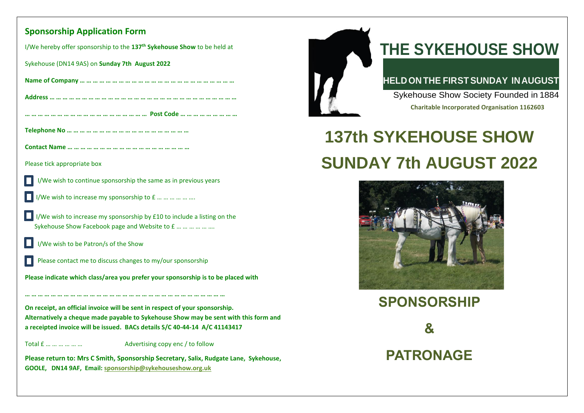### **Sponsorship Application Form**

I/We hereby offer sponsorship to the **137 th Sykehouse Show** to be held at

Sykehouse (DN14 9AS) on **Sunday 7th August 2022**

| Please tick appropriate box                                                                                                                                          |
|----------------------------------------------------------------------------------------------------------------------------------------------------------------------|
| I/We wish to continue sponsorship the same as in previous years                                                                                                      |
| I/We wish to increase my sponsorship to £                                                                                                                            |
| I/We wish to increase my sponsorship by £10 to include a listing on the<br>Sykehouse Show Facebook page and Website to £                                             |
| I/We wish to be Patron/s of the Show                                                                                                                                 |
| Please contact me to discuss changes to my/our sponsorship                                                                                                           |
| Please indicate which class/area you prefer your sponsorship is to be placed with                                                                                    |
|                                                                                                                                                                      |
| On receipt, an official invoice will be sent in respect of your sponsorship.<br>Alternatively a cheque made payable to Sykehouse Show may be sent with this form and |
| a receipted invoice will be issued. BACs details S/C 40-44-14 A/C 41143417                                                                                           |
| Total £<br>Advertising copy enc / to follow                                                                                                                          |
| Please return to: Mrs C Smith, Sponsorship Secretary, Salix, Rudgate Lane, Sykehouse,<br>GOOLE, DN14 9AF, Email: sponsorship@sykehouseshow.org.uk                    |



## **THE SYKEHOUSE SHOW**

## **HELDON THE FIRSTSUNDAY INAUGUST**

Sykehouse Show Society Founded in 1884

**Charitable Incorporated Organisation 1162603**

# **137th SYKEHOUSE SHOW SUNDAY 7th AUGUST 2022**



**SPONSORSHIP & PATRONAGE**